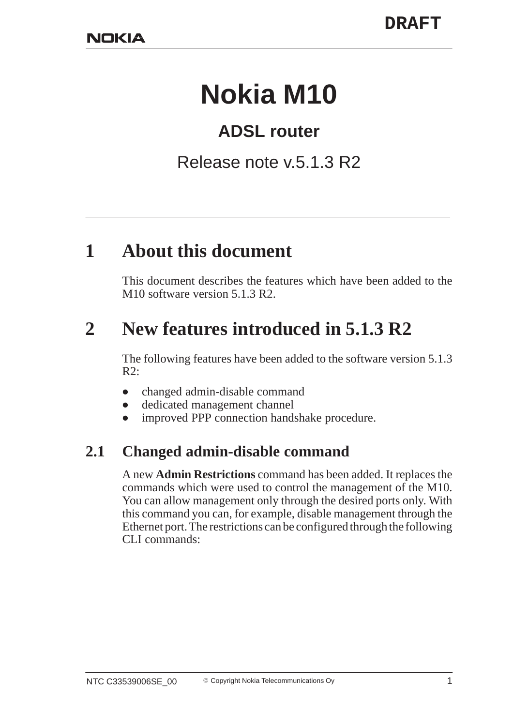# **Nokia M10**

## **ADSL router**

### Release note v.5.1.3 R2

## **1 About this document**

This document describes the features which have been added to the M10 software version 5.1.3 R2.

# **2 New features introduced in 5.1.3 R2**

The following features have been added to the software version 5.1.3  $R2$ :

- $\bullet$ changed admin-disable command
- $\bullet$ dedicated management channel
- $\bullet$ improved PPP connection handshake procedure.

#### **2.1 Changed admin-disable command**

A new **Admin Restrictions** command has been added. It replaces the commands which were used to control the management of the M10. You can allow management only through the desired ports only. With this command you can, for example, disable management through the Ethernet port. The restrictions can be configured through the following CLI commands: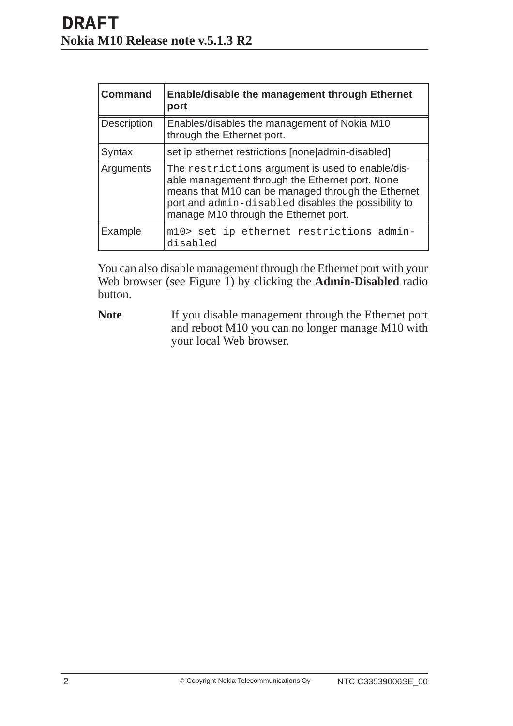| <b>Command</b>     | <b>Enable/disable the management through Ethernet</b><br>port                                                                                                                                                                                             |
|--------------------|-----------------------------------------------------------------------------------------------------------------------------------------------------------------------------------------------------------------------------------------------------------|
| <b>Description</b> | Enables/disables the management of Nokia M10<br>through the Ethernet port.                                                                                                                                                                                |
| Syntax             | set ip ethernet restrictions [none admin-disabled]                                                                                                                                                                                                        |
| Arguments          | The restrictions argument is used to enable/dis-<br>able management through the Ethernet port. None<br>means that M10 can be managed through the Ethernet<br>port and admin-disabled disables the possibility to<br>manage M10 through the Ethernet port. |
| Example            | m10> set ip ethernet restrictions admin-<br>disabled                                                                                                                                                                                                      |

You can also disable management through the Ethernet port with your Web browser (see Figure 1) by clicking the **Admin-Disabled** radio button.

**Note** If you disable management through the Ethernet port and reboot M10 you can no longer manage M10 with your local Web browser.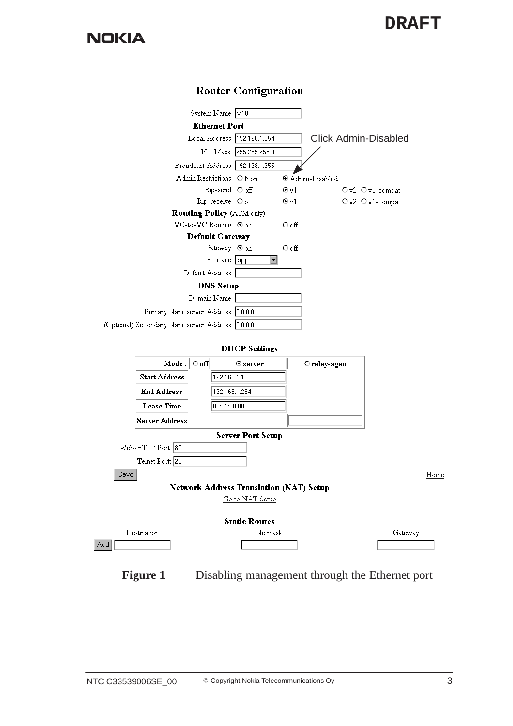

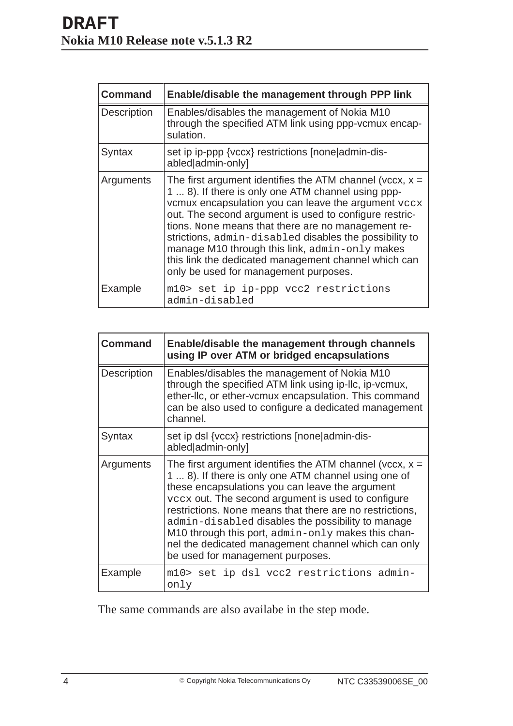| <b>Command</b>     | Enable/disable the management through PPP link                                                                                                                                                                                                                                                                                                                                                                                                                                                       |
|--------------------|------------------------------------------------------------------------------------------------------------------------------------------------------------------------------------------------------------------------------------------------------------------------------------------------------------------------------------------------------------------------------------------------------------------------------------------------------------------------------------------------------|
| <b>Description</b> | Enables/disables the management of Nokia M10<br>through the specified ATM link using ppp-vcmux encap-<br>sulation.                                                                                                                                                                                                                                                                                                                                                                                   |
| Syntax             | set ip ip-ppp {vccx} restrictions [none admin-dis-<br>abled admin-only]                                                                                                                                                                                                                                                                                                                                                                                                                              |
| Arguments          | The first argument identifies the ATM channel (vccx, $x =$<br>1  8). If there is only one ATM channel using ppp-<br>vcmux encapsulation you can leave the argument vccx<br>out. The second argument is used to configure restric-<br>tions. None means that there are no management re-<br>strictions, admin-disabled disables the possibility to<br>manage M10 through this link, admin-only makes<br>this link the dedicated management channel which can<br>only be used for management purposes. |
| Example            | m10> set ip ip-ppp vcc2 restrictions<br>admin-disabled                                                                                                                                                                                                                                                                                                                                                                                                                                               |

| Command            | Enable/disable the management through channels<br>using IP over ATM or bridged encapsulations                                                                                                                                                                                                                                                                                                                                                                                                 |
|--------------------|-----------------------------------------------------------------------------------------------------------------------------------------------------------------------------------------------------------------------------------------------------------------------------------------------------------------------------------------------------------------------------------------------------------------------------------------------------------------------------------------------|
| <b>Description</b> | Enables/disables the management of Nokia M10<br>through the specified ATM link using ip-Ilc, ip-vcmux,<br>ether-Ilc, or ether-vcmux encapsulation. This command<br>can be also used to configure a dedicated management<br>channel.                                                                                                                                                                                                                                                           |
| Syntax             | set ip dsl {vccx} restrictions [none]admin-dis-<br>abled admin-only]                                                                                                                                                                                                                                                                                                                                                                                                                          |
| Arguments          | The first argument identifies the ATM channel (vccx, $x =$<br>1  8). If there is only one ATM channel using one of<br>these encapsulations you can leave the argument<br>vccx out. The second argument is used to configure<br>restrictions. None means that there are no restrictions,<br>admin-disabled disables the possibility to manage<br>M10 through this port, admin-only makes this chan-<br>nel the dedicated management channel which can only<br>be used for management purposes. |
| Example            | m10> set ip dsl vcc2 restrictions admin-<br>only                                                                                                                                                                                                                                                                                                                                                                                                                                              |

The same commands are also availabe in the step mode.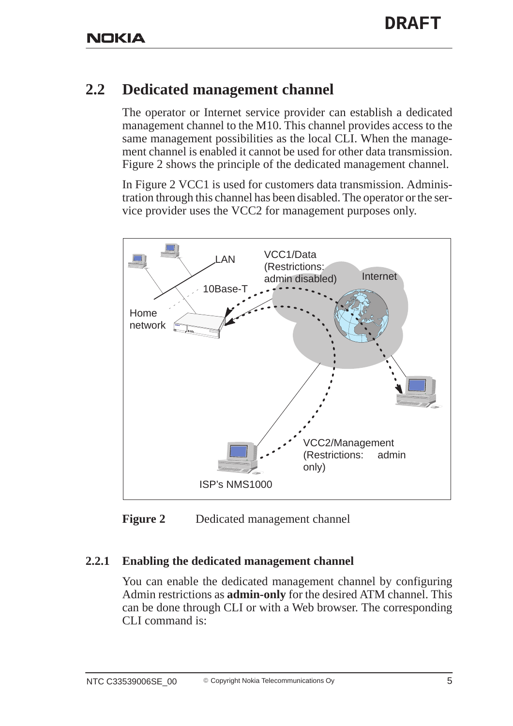#### **2.2 Dedicated management channel**

The operator or Internet service provider can establish a dedicated management channel to the M10. This channel provides access to the same management possibilities as the local CLI. When the management channel is enabled it cannot be used for other data transmission. Figure 2 shows the principle of the dedicated management channel.

In Figure 2 VCC1 is used for customers data transmission. Administration through this channel has been disabled. The operator or the service provider uses the VCC2 for management purposes only.



**Figure 2** Dedicated management channel

#### **2.2.1 Enabling the dedicated management channel**

You can enable the dedicated management channel by configuring Admin restrictions as **admin-only** for the desired ATM channel. This can be done through CLI or with a Web browser. The corresponding CLI command is: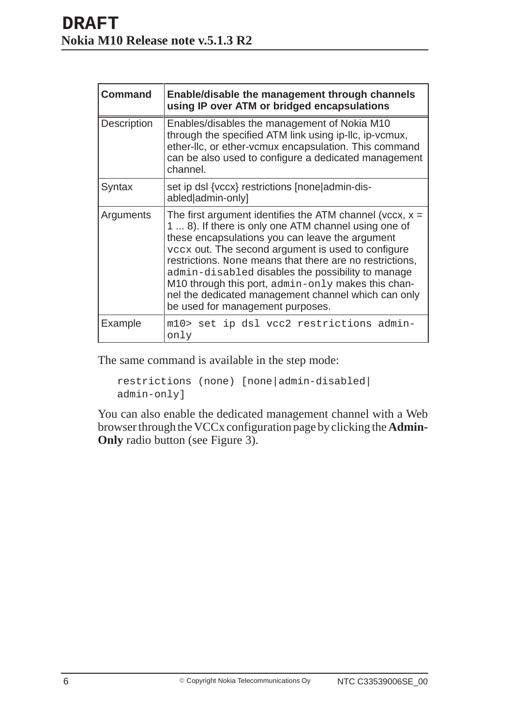| <b>Command</b>     | Enable/disable the management through channels<br>using IP over ATM or bridged encapsulations                                                                                                                                                                                                                                                                                                                                                                                                 |
|--------------------|-----------------------------------------------------------------------------------------------------------------------------------------------------------------------------------------------------------------------------------------------------------------------------------------------------------------------------------------------------------------------------------------------------------------------------------------------------------------------------------------------|
| <b>Description</b> | Enables/disables the management of Nokia M10<br>through the specified ATM link using ip-Ilc, ip-vcmux,<br>ether-IIc, or ether-vcmux encapsulation. This command<br>can be also used to configure a dedicated management<br>channel.                                                                                                                                                                                                                                                           |
| Syntax             | set ip dsl {vccx} restrictions [none admin-dis-<br>abled admin-only]                                                                                                                                                                                                                                                                                                                                                                                                                          |
| Arguments          | The first argument identifies the ATM channel (vccx, $x =$<br>1  8). If there is only one ATM channel using one of<br>these encapsulations you can leave the argument<br>vccx out. The second argument is used to configure<br>restrictions. None means that there are no restrictions,<br>admin-disabled disables the possibility to manage<br>M10 through this port, admin-only makes this chan-<br>nel the dedicated management channel which can only<br>be used for management purposes. |
| Example            | m10> set ip dsl vcc2 restrictions admin-<br>only                                                                                                                                                                                                                                                                                                                                                                                                                                              |

The same command is available in the step mode:

```
restrictions (none) [none|admin-disabled|
admin-only]
```
You can also enable the dedicated management channel with a Web browser through the VCCx configuration page by clicking the **Admin-Only** radio button (see Figure 3).